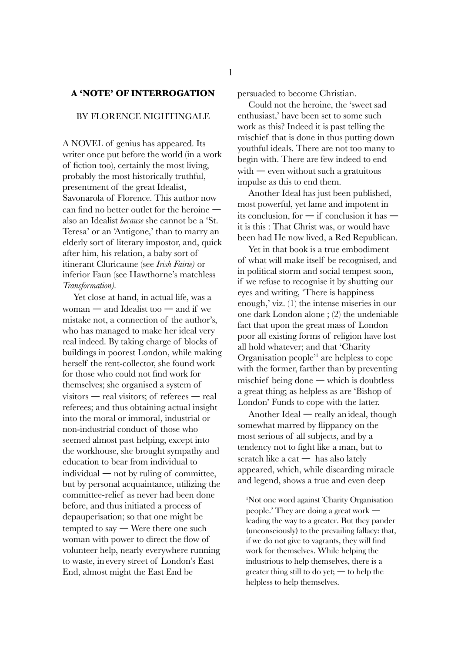## **A 'NOTE' OF INTERROGATION**

## BY FLORENCE NIGHTINGALE

A NOVEL of genius has appeared. Its writer once put before the world (in a work of fiction too), certainly the most living, probably the most historically truthful, presentment of the great Idealist, Savonarola of Florence. This author now can find no better outlet for the heroine ― also an Idealist *because* she cannot be a 'St. Teresa' or an 'Antigone,' than to marry an elderly sort of literary impostor, and, quick after him, his relation, a baby sort of itinerant Cluricaune (see *Irish Fairie)* or inferior Faun (see Hawthorne's matchless *Transformation).*

Yet close at hand, in actual life, was a woman — and Idealist too — and if we mistake not, a connection of the author's, who has managed to make her ideal very real indeed. By taking charge of blocks of buildings in poorest London, while making herself the rent-collector, she found work for those who could not find work for themselves; she organised a system of visitors ― real visitors; of referees ― real referees; and thus obtaining actual insight into the moral or immoral, industrial or non-industrial conduct of those who seemed almost past helping, except into the workhouse, she brought sympathy and education to bear from individual to individual ― not by ruling of committee, but by personal acquaintance, utilizing the committee-relief as never had been done before, and thus initiated a process of depauperisation; so that one might be tempted to say ― Were there one such woman with power to direct the flow of volunteer help, nearly everywhere running to waste, in every street of London's East End, almost might the East End be

persuaded to become Christian.

Could not the heroine, the 'sweet sad enthusiast,' have been set to some such work as this? Indeed it is past telling the mischief that is done in thus putting down youthful ideals. There are not too many to begin with. There are few indeed to end with — even without such a gratuitous impulse as this to end them.

Another Ideal has just been published, most powerful, yet lame and impotent in its conclusion, for  $-$  if conclusion it has  $$ it is this : That Christ was, or would have been had He now lived, a Red Republican.

Yet in that book is a true embodiment of what will make itself be recognised, and in political storm and social tempest soon, if we refuse to recognise it by shutting our eyes and writing, 'There is happiness enough,' viz. (1) the intense miseries in our one dark London alone ; (2) the undeniable fact that upon the great mass of London poor all existing forms of religion have lost all hold whatever; and that 'Charity Organisation people'<sup>1</sup> are helpless to cope with the former, farther than by preventing mischief being done — which is doubtless a great thing; as helpless as are 'Bishop of London' Funds to cope with the latter.

Another Ideal — really an ideal, though somewhat marred by flippancy on the most serious of all subjects, and by a tendency not to fight like a man, but to scratch like a cat — has also lately appeared, which, while discarding miracle and legend, shows a true and even deep

1 Not one word against ' Charity Organisation people.' They are doing a great work ― leading the way to a greater. But they pander (unconsciously) to the prevailing fallacy: that, if we do not give to vagrants, they will find work for themselves. While helping the industrious to help themselves, there is a greater thing still to do yet;  $-$  to help the helpless to help themselves.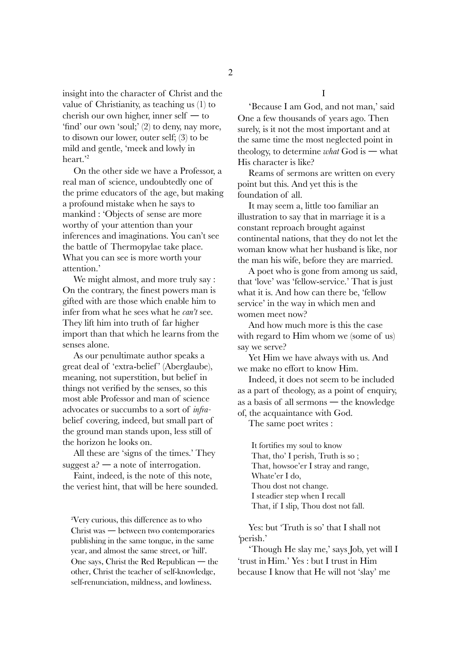insight into the character of Christ and the value of Christianity, as teaching us (1) to cherish our own higher, inner self ― to 'find' our own 'soul;' (2) to deny, nay more, to disown our lower, outer self; (3) to be mild and gentle, 'meek and lowly in heart<sup>2</sup>

On the other side we have a Professor, a real man of science, undoubtedly one of the prime educators of the age, but making a profound mistake when he says to mankind : 'Objects of sense are more worthy of your attention than your inferences and imaginations. You can't see the battle of Thermopylae take place. What you can see is more worth your attention.'

We might almost, and more truly say : On the contrary, the finest powers man is gifted with are those which enable him to infer from what he sees what he *can't* see. They lift him into truth of far higher import than that which he learns from the senses alone.

As our penultimate author speaks a great deal of 'extra-belief' (Aberglaube), meaning, not superstition, but belief in things not verified by the senses, so this most able Professor and man of science advocates or succumbs to a sort of *infra*belief covering, indeed, but small part of the ground man stands upon, less still of the horizon he looks on.

All these are 'signs of the times.' They suggest  $a^2$  — a note of interrogation.

Faint, indeed, is the note of this note, the veriest hint, that will be here sounded.

2 Very curious, this difference as to who Christ was ― between two contemporaries publishing in the same tongue, in the same year, and almost the same street, or 'hill'. One says, Christ the Red Republican ― the other, Christ the teacher of self-knowledge, self-renunciation, mildness, and lowliness.

'Because I am God, and not man,' said One a few thousands of years ago. Then surely, is it not the most important and at the same time the most neglected point in theology, to determine *what* God is ― what His character is like?

Reams of sermons are written on every point but this. And yet this is the foundation of all.

It may seem a, little too familiar an illustration to say that in marriage it is a constant reproach brought against continental nations, that they do not let the woman know what her husband is like, nor the man his wife, before they are married.

A poet who is gone from among us said, that 'love' was 'fellow-service.' That is just what it is. And how can there be, 'fellow service' in the way in which men and women meet now?

And how much more is this the case with regard to Him whom we (some of us) say we serve?

Yet Him we have always with us. And we make no effort to know Him.

Indeed, it does not seem to be included as a part of theology, as a point of enquiry, as a basis of all sermons ― the knowledge of, the acquaintance with God.

The same poet writes :

It fortifies my soul to know That, tho' I perish, Truth is so ; That, howsoe'er I stray and range, Whate'er I do, Thou dost not change. I steadier step when I recall That, if I slip, Thou dost not fall.

Yes: but 'Truth is so' that I shall not *'*perish.'

'Though He slay me,' says Job, yet will I 'trust in Him.' Yes : but I trust in Him because I know that He will not 'slay' me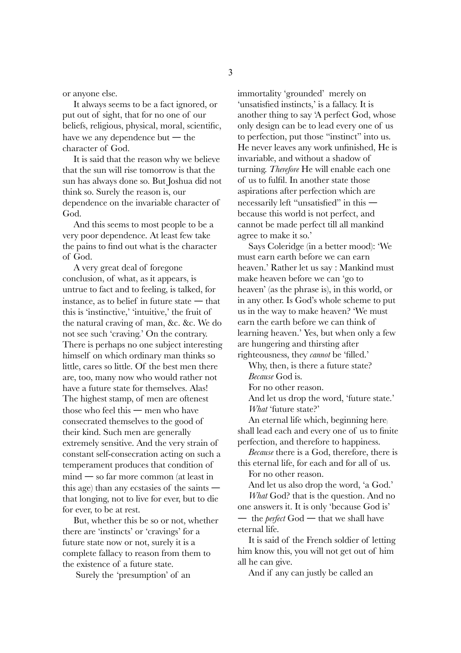or anyone else.

It always seems to be a fact ignored, or put out of sight, that for no one of our beliefs, religious, physical, moral, scientific, have we any dependence but ― the character of God.

It is said that the reason why we believe that the sun will rise tomorrow is that the sun has always done so. But Joshua did not think so. Surely the reason is, our dependence on the invariable character of God.

And this seems to most people to be a very poor dependence. At least few take the pains to find out what is the character of God.

A very great deal of foregone conclusion, of what, as it appears, is untrue to fact and to feeling, is talked, for instance, as to belief in future state ― that this is 'instinctive,' 'intuitive,' the fruit of the natural craving of man, &c. &c. We do not see such 'craving.' On the contrary. There is perhaps no one subject interesting himself on which ordinary man thinks so little, cares so little. Of the best men there are, too, many now who would rather not have a future state for themselves. Alas! The highest stamp, of men are oftenest those who feel this ― men who have consecrated themselves to the good of their kind. Such men are generally extremely sensitive. And the very strain of constant self-consecration acting on such a temperament produces that condition of mind ― so far more common (at least in this age) than any ecstasies of the saints ― that longing, not to live for ever, but to die for ever, to be at rest.

But, whether this be so or not, whether there are 'instincts' or 'cravings' for a future state now or not, surely it is a complete fallacy to reason from them to the existence of a future state.

Surely the 'presumption' of an

immortality 'grounded' merely on 'unsatisfied instincts,' is a fallacy. It is another thing to say 'A perfect God, whose only design can be to lead every one of us to perfection, put those "instinct" into us. He never leaves any work unfinished, He is invariable, and without a shadow of turning. *Therefore* He will enable each one of us to fulfil. In another state those aspirations after perfection which are necessarily left "unsatisfied" in this ― because this world is not perfect, and cannot be made perfect till all mankind agree to make it so.'

Says Coleridge (in a better mood): 'We must earn earth before we can earn heaven.' Rather let us say : Mankind must make heaven before we can 'go to heaven' (as the phrase is), in this world, or in any other. Is God's whole scheme to put us in the way to make heaven? 'We must earn the earth before we can think of learning heaven.' Yes, but when only a few are hungering and thirsting after righteousness, they *cannot* be 'filled.'

Why, then, is there a future state? *Because* God is.

For no other reason.

And let us drop the word, 'future state.' *What* 'future state?'

An eternal life which, beginning here) shall lead each and every one of us to finite perfection, and therefore to happiness.

*Because* there is a God, therefore, there is this eternal life, for each and for all of us.

For no other reason.

And let us also drop the word, 'a God.' *What* God? that is the question. And no one answers it. It is only 'because God is'

― the *perfect* God ― that we shall have eternal life.

It is said of the French soldier of letting him know this, you will not get out of him all he can give.

And if any can justly be called an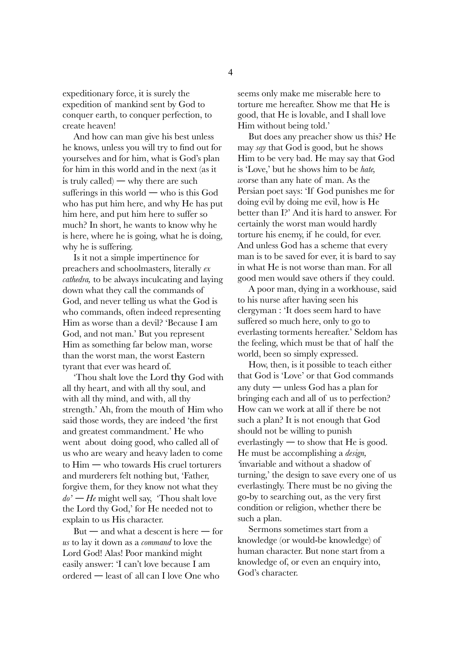expeditionary force, it is surely the expedition of mankind sent by God to conquer earth, to conquer perfection, to create heaven!

And how can man give his best unless he knows, unless you will try to find out for yourselves and for him, what is God's plan for him in this world and in the next (as it is truly called) — why there are such sufferings in this world ― who is this God who has put him here, and why He has put him here, and put him here to suffer so much? In short, he wants to know why he is here, where he is going, what he is doing, why he is suffering.

Is it not a simple impertinence for preachers and schoolmasters, literally *ex cathedra,* to be always inculcating and laying down what they call the commands of God, and never telling us what the God is who commands, often indeed representing Him as worse than a devil? 'Because I am God, and not man.' But you represent Him as something far below man, worse than the worst man, the worst Eastern tyrant that ever was heard of.

'Thou shalt love the Lord thy God with all thy heart, and with all thy soul, and with all thy mind, and with, all thy strength.' Ah, from the mouth of Him who said those words, they are indeed 'the first and greatest commandment.' He who went about doing good, who called all of us who are weary and heavy laden to come to Him ― who towards His cruel torturers and murderers felt nothing but, 'Father, forgive them, for they know not what they  $d\theta'$  — He might well say, 'Thou shalt love the Lord thy God,' for He needed not to explain to us His character.

But — and what a descent is here — for *us* to lay it down as a *command* to love the Lord God! Alas! Poor mankind might easily answer: 'I can't love because I am ordered ― least of all can I love One who

seems only make me miserable here to torture me hereafter. Show me that He is good, that He is lovable, and I shall love Him without being told.'

But does any preacher show us this? He may *say* that God is good, but he shows Him to be very bad. He may say that God is 'Love,' but he shows him to be *hate, w*orse than any hate of man. As the Persian poet says: 'If God punishes me for doing evil by doing me evil, how is He better than I?' And itis hard to answer. For certainly the worst man would hardly torture his enemy, if he could, for ever. And unless God has a scheme that every man is to be saved for ever, it is bard to say in what He is not worse than man. For all good men would save others if they could.

A poor man, dying in a workhouse, said to his nurse after having seen his clergyman : 'It does seem hard to have suffered so much here, only to go to everlasting torments hereafter.' Seldom has the feeling, which must be that of half the world, been so simply expressed.

How, then, is it possible to teach either that God is 'Love' or that God commands any duty ― unless God has a plan for bringing each and all of us to perfection? How can we work at all if there be not such a plan? It is not enough that God should not be willing to punish everlastingly — to show that He is good. He must be accomplishing a *design, '*invariable and without a shadow of turning,' the design to save every one of us everlastingly. There must be no giving the go-by to searching out, as the very first condition or religion, whether there be such a plan.

Sermons sometimes start from a knowledge (or would-be knowledge) of human character. But none start from a knowledge of, or even an enquiry into, God's character.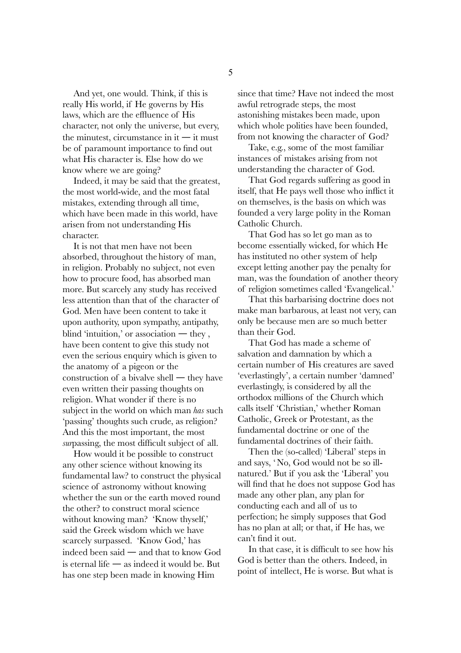And yet, one would. Think, if this is really His world, if He governs by His laws, which are the effluence of His character, not only the universe, but every, the minutest, circumstance in it — it must be of paramount importance to find out what His character is. Else how do we know where we are going?

Indeed, it may be said that the greatest, the most world-wide, and the most fatal mistakes, extending through all time, which have been made in this world, have arisen from not understanding His character.

It is not that men have not been absorbed, throughout the history of man, in religion. Probably no subject, not even how to procure food, has absorbed man more. But scarcely any study has received less attention than that of the character of God. Men have been content to take it upon authority, upon sympathy, antipathy, blind 'intuition,' or association ― they , have been content to give this study not even the serious enquiry which is given to the anatomy of a pigeon or the construction of a bivalve shell ― they have even written their passing thoughts on religion. What wonder if there is no subject in the world on which man *has* such 'passing' thoughts such crude, as religion? And this the most important, the most *sur*passing, the most difficult subject of all.

How would it be possible to construct any other science without knowing its fundamental law? to construct the physical science of astronomy without knowing whether the sun or the earth moved round the other? to construct moral science without knowing man? 'Know thyself,' said the Greek wisdom which we have scarcely surpassed. 'Know God,' has indeed been said ― and that to know God is eternal life  $-$  as indeed it would be. But has one step been made in knowing Him

since that time? Have not indeed the most awful retrograde steps, the most astonishing mistakes been made, upon which whole polities have been founded, from not knowing the character of God?

Take, e.g., some of the most familiar instances of mistakes arising from not understanding the character of God.

That God regards suffering as good in itself, that He pays well those who inflict it on themselves, is the basis on which was founded a very large polity in the Roman Catholic Church.

That God has so let go man as to become essentially wicked, for which He has instituted no other system of help except letting another pay the penalty for man, was the foundation of another theory of religion sometimes called 'Evangelical.'

That this barbarising doctrine does not make man barbarous, at least not very, can only be because men are so much better than their God.

That God has made a scheme of salvation and damnation by which a certain number of His creatures are saved 'everlastingly', a certain number 'damned' everlastingly, is considered by all the orthodox millions of the Church which calls itself 'Christian,' whether Roman Catholic, Greek or Protestant, as the fundamental doctrine or one of the fundamental doctrines of their faith.

Then the (so-called) 'Liberal' steps in and says, 'No, God would not be so illnatured.' But if you ask the 'Liberal' you will find that he does not suppose God has made any other plan, any plan for conducting each and all of us to perfection; he simply supposes that God has no plan at all; or that, if He has, we can't find it out.

In that case, it is difficult to see how his God is better than the others. Indeed, in point of intellect, He is worse. But what is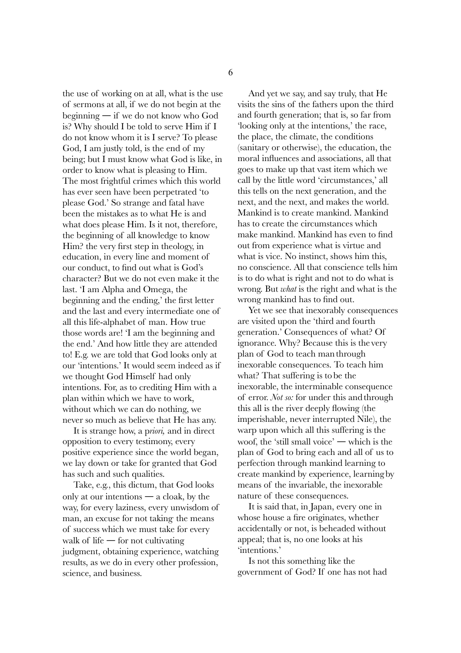the use of working on at all, what is the use of sermons at all, if we do not begin at the beginning ― if we do not know who God is? Why should I be told to serve Him if I do not know whom it is I serve? To please God, I am justly told, is the end of my being; but I must know what God is like, in order to know what is pleasing to Him. The most frightful crimes which this world has ever seen have been perpetrated 'to please God.' So strange and fatal have been the mistakes as to what He is and what does please Him. Is it not, therefore, the beginning of all knowledge to know Him? the very first step in theology, in education, in every line and moment of our conduct, to find out what is God's character? But we do not even make it the last. 'I am Alpha and Omega, the beginning and the ending,' the first letter and the last and every intermediate one of all this life-alphabet of man. How true those words are! 'I am the beginning and the end.' And how little they are attended to! E.g. we are told that God looks only at our 'intentions.' It would seem indeed as if we thought God Himself had only intentions. For, as to crediting Him with a plan within which we have to work, without which we can do nothing, we never so much as believe that He has any.

It is strange how, a p*riori,* and in direct opposition to every testimony, every positive experience since the world began, we lay down or take for granted that God has such and such qualities.

Take, e.g., this dictum, that God looks only at our intentions — a cloak, by the way, for every laziness, every unwisdom of man, an excuse for not taking the means of success which we must take for every walk of life — for not cultivating judgment, obtaining experience, watching results, as we do in every other profession, science, and business.

And yet we say, and say truly, that He visits the sins of the fathers upon the third and fourth generation; that is, so far from 'looking only at the intentions,' the race, the place, the climate, the conditions (sanitary or otherwise), the education, the moral influences and associations, all that goes to make up that vast item which we call by the little word 'circumstances,' all this tells on the next generation, and the next, and the next, and makes the world. Mankind is to create mankind. Mankind has to create the circumstances which make mankind. Mankind has even to find out from experience what is virtue and what is vice. No instinct, shows him this, no conscience. All that conscience tells him is to do what is right and not to do what is wrong. But *what* is the right and what is the wrong mankind has to find out.

Yet we see that inexorably consequences are visited upon the 'third and fourth generation.' Consequences of what? Of ignorance. Why? Because this is the very plan of God to teach man through inexorable consequences. To teach him what? That suffering is to be the inexorable, the interminable consequence of error. *Not so:* for under this and through this all is the river deeply flowing (the imperishable, never interrupted Nile), the warp upon which all this suffering is the woof, the 'still small voice' ― which is the plan of God to bring each and all of us to perfection through mankind learning to create mankind by experience, learning by means of the invariable, the inexorable nature of these consequences.

It is said that, in Japan, every one in whose house a fire originates, whether accidentally or not, is beheaded without appeal; that is, no one looks at his 'intentions.'

Is not this something like the government of God? If one has not had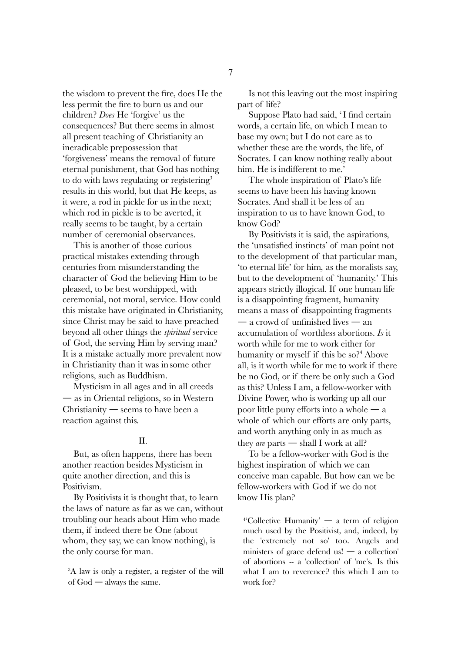the wisdom to prevent the fire, does He the less permit the fire to burn us and our children? *Does* He 'forgive' us the consequences? But there seems in almost all present teaching of Christianity an ineradicable prepossession that 'forgiveness' means the removal of future eternal punishment, that God has nothing to do with laws regulating or registering<sup>3</sup> results in this world, but that He keeps, as it were, a rod in pickle for us in the next; which rod in pickle is to be averted, it really seems to be taught, by a certain number of ceremonial observances.

This is another of those curious practical mistakes extending through centuries from misunderstanding the character of God the believing Him to be pleased, to be best worshipped, with ceremonial, not moral, service. How could this mistake have originated in Christianity, since Christ may be said to have preached beyond all other things the *spiritual* service of God, the serving Him by serving man? It is a mistake actually more prevalent now in Christianity than it was in some other religions, such as Buddhism.

Mysticism in all ages and in all creeds ― as in Oriental religions, so in Western Christianity — seems to have been a reaction against this.

## $II$ .

But, as often happens, there has been another reaction besides Mysticism in quite another direction, and this is Positivism.

By Positivists it is thought that, to learn the laws of nature as far as we can, without troubling our heads about Him who made them, if indeed there be One (about whom, they say, we can know nothing), is the only course for man.

3 A law is only a register, a register of the will of God ― always the same.

Is not this leaving out the most inspiring part of life?

Suppose Plato had said, 'I find certain words, a certain life, on which I mean to base my own; but I do not care as to whether these are the words, the life, of Socrates. I can know nothing really about him. He is indifferent to me.'

The whole inspiration of Plato's life seems to have been his having known Socrates. And shall it be less of an inspiration to us to have known God, to know God?

By Positivists it is said, the aspirations, the 'unsatisfied instincts' of man point not to the development of that particular man, 'to eternal life' for him*,* as the moralists say, but to the development of 'humanity.' This appears strictly illogical. If one human life is a disappointing fragment, humanity means a mass of disappointing fragments ― a crowd of unfinished lives ― an accumulation of worthless abortions. *Is* it worth while for me to work either for humanity or myself if this be so?<sup>4</sup> Above all, is it worth while for me to work if there be no God, or if there be only such a God as this? Unless I am, a fellow-worker with Divine Power, who is working up all our poor little puny efforts into a whole —  $a$ whole of which our efforts are only parts, and worth anything only in as much as they *are* parts ― shall I work at all?

To be a fellow-worker with God is the highest inspiration of which we can conceive man capable. But how can we be fellow-workers with God if we do not know His plan?

4 'Collective Humanity' ― a term of religion much used by the Positivist, and, indeed, by the 'extremely not so' too. Angels and ministers of grace defend us! — a collection' of abortions -- a 'collection' of 'me's. Is this what I am to reverence? this which I am to work for?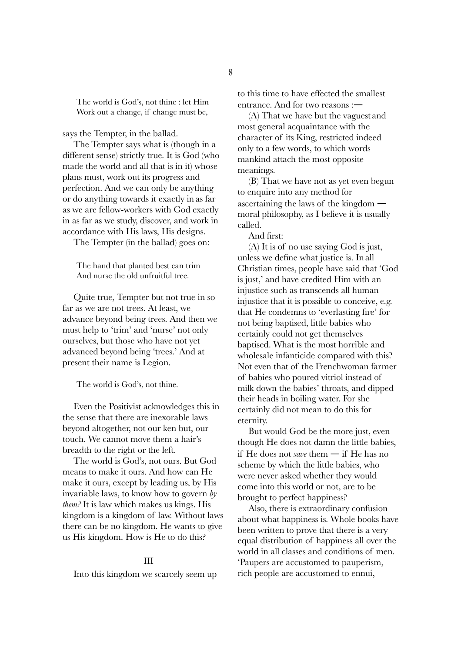The world is God's, not thine : let Him Work out a change, if change must be,

says the Tempter, in the ballad.

The Tempter says what is (though in a different sense) strictly true. It is God (who made the world and all that is in it) whose plans must, work out its progress and perfection. And we can only be anything or do anything towards it exactly in as far as we are fellow-workers with God exactly in as far as we study, discover, and work in accordance with His laws, His designs.

The Tempter (in the ballad) goes on:

The hand that planted best can trim And nurse the old unfruitful tree.

Quite true, Tempter but not true in so far as we are not trees. At least, we advance beyond being trees. And then we must help to 'trim' and 'nurse' not only ourselves, but those who have not yet advanced beyond being 'trees.' And at present their name is Legion.

The world is God's, not thine.

Even the Positivist acknowledges this in the sense that there are inexorable laws beyond altogether, not our ken but, our touch. We cannot move them a hair's breadth to the right or the left.

The world is God's, not ours. But God means to make it ours. And how can He make it ours, except by leading us, by His invariable laws, to know how to govern *by them?* It is law which makes us kings. His kingdom is a kingdom of law. Without laws there can be no kingdom. He wants to give us His kingdom. How is He to do this?

## III

Into this kingdom we scarcely seem up

to this time to have effected the smallest entrance. And for two reasons :―

(A) That we have but the vaguest and most general acquaintance with the character of its King, restricted indeed only to a few words, to which words mankind attach the most opposite meanings.

(B) That we have not as yet even begun to enquire into any method for ascertaining the laws of the kingdom ― moral philosophy, as I believe it is usually called.

And first:

(A) It is of no use saying God is just, unless we define what justice is. In all Christian times, people have said that 'God is just,' and have credited Him with an injustice such as transcends all human injustice that it is possible to conceive, e.g. that He condemns to 'everlasting fire' for not being baptised, little babies who certainly could not get themselves baptised. What is the most horrible and wholesale infanticide compared with this? Not even that of the Frenchwoman farmer of babies who poured vitriol instead of milk down the babies' throats, and dipped their heads in boiling water. For she certainly did not mean to do this for eternity.

But would God be the more just, even though He does not damn the little babies, if He does not *save* them ― if He has no scheme by which the little babies, who were never asked whether they would come into this world or not, are to be brought to perfect happiness?

Also, there is extraordinary confusion about what happiness is. Whole books have been written to prove that there is a very equal distribution of happiness all over the world in all classes and conditions of men. 'Paupers are accustomed to pauperism, rich people are accustomed to ennui,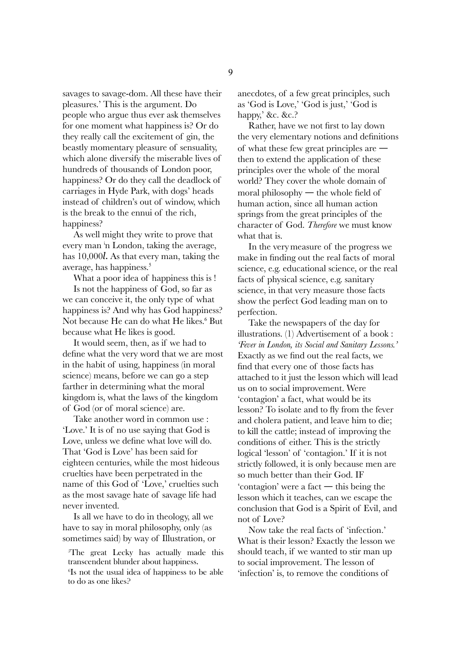savages to savage-dom. All these have their pleasures.' This is the argument. Do people who argue thus ever ask themselves for one moment what happiness is? Or do they really call the excitement of gin, the beastly momentary pleasure of sensuality, which alone diversify the miserable lives of hundreds of thousands of London poor, happiness? Or do they call the deadlock of carriages in Hyde Park, with dogs' heads instead of children's out of window, which is the break to the ennui of the rich, happiness?

As well might they write to prove that every man in London, taking the average, has 10,000*l.* As that every man, taking the average, has happiness. 5

What a poor idea of happiness this is !

Is not the happiness of God, so far as we can conceive it, the only type of what happiness is? And why has God happiness? Not because He can do what He likes. 6 But because what He likes is good.

It would seem, then, as if we had to define what the very word that we are most in the habit of using, happiness (in moral science) means, before we can go a step farther in determining what the moral kingdom is, what the laws of the kingdom of God (or of moral science) are.

Take another word in common use : 'Love.' It is of no use saying that God is Love, unless we define what love will do. That 'God is Love' has been said for eighteen centuries, while the most hideous cruelties have been perpetrated in the name of this God of 'Love,' cruelties such as the most savage hate of savage life had never invented.

Is all we have to do in theology, all we have to say in moral philosophy, only (as sometimes said) by way of Illustration, or

5 The great Lecky has actually made this transcendent blunder about happiness.

6 Is not the usual idea of happiness to be able to do as one likes?

anecdotes, of a few great principles, such as 'God is Love,' 'God is just,' 'God is happy,' &c. &c.?

Rather, have we not first to lay down the very elementary notions and definitions of what these few great principles are ― then to extend the application of these principles over the whole of the moral world? They cover the whole domain of moral philosophy ― the whole field of human action, since all human action springs from the great principles of the character of God. *Therefore* we must know what that is.

In the very measure of the progress we make in finding out the real facts of moral science, e.g. educational science, or the real facts of physical science, e.g. sanitary science, in that very measure those facts show the perfect God leading man on to perfection.

Take the newspapers of the day for illustrations. (1) Advertisement of a book : *'Fever in London, its Social and Sanitary Lessons.'*  Exactly as we find out the real facts, we find that every one of those facts has attached to it just the lesson which will lead us on to social improvement. Were 'contagion' a fact, what would be its lesson? To isolate and to fly from the fever and cholera patient, and leave him to die; to kill the cattle; instead of improving the conditions of either. This is the strictly logical 'lesson' of 'contagion.' If it is not strictly followed, it is only because men are so much better than their God. IF 'contagion' were a fact ― this being the lesson which it teaches, can we escape the conclusion that God is a Spirit of Evil, and not of Love?

Now take the real facts of 'infection.' What is their lesson? Exactly the lesson we should teach, if we wanted to stir man up to social improvement. The lesson of 'infection' is, to remove the conditions of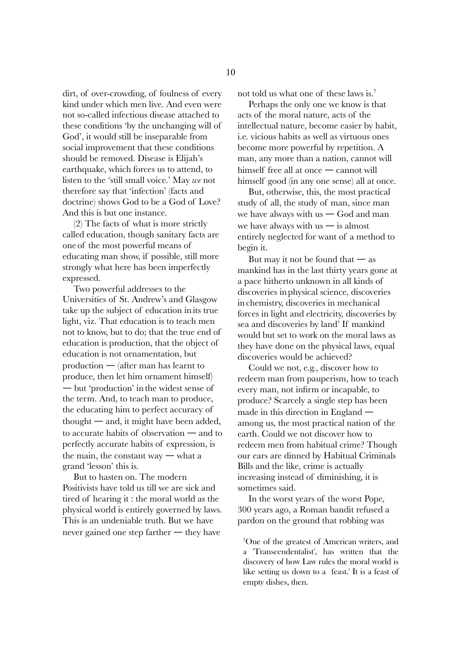dirt, of over-crowding, of foulness of every kind under which men live. And even were not so-called infectious disease attached to these conditions 'by the unchanging will of God', it would still be inseparable from social improvement that these conditions should be removed. Disease is Elijah's earthquake, which forces us to attend, to listen to the 'still small voice.' May *we* not therefore say that 'infection' (facts and doctrine) shows God to be a God of Love? And this is but one instance.

(2) The facts of what is more strictly called education, though sanitary facts are one of the most powerful means of educating man show, if possible, still more strongly what here has been imperfectly expressed.

Two powerful addresses to the Universities of St. Andrew's and Glasgow take up the subject of education in its true light, viz. That education is to teach men not to know, but to do; that the true end of education is production, that the object of education is not ornamentation, but production ― (after man has learnt to produce, then let him ornament himself) ― but 'production' in the widest sense of the term. And, to teach man to produce, the educating him to perfect accuracy of  $t$  thought — and, it might have been added, to accurate habits of observation ― and to perfectly accurate habits of expression, is the main, the constant way ― what a grand 'lesson' this is.

But to hasten on. The modern Positivists have told us till we are sick and tired of hearing it : the moral world as the physical world is entirely governed by laws. This is an undeniable truth. But we have never gained one step farther ― they have

not told us what one of these laws is. 7

Perhaps the only one we know is that acts of the moral nature, acts of the intellectual nature, become easier by habit, i.e. vicious habits as well as virtuous ones become more powerful by repetition. A man, any more than a nation, cannot will himself free all at once — cannot will himself good (in any one sense) all at once.

But, otherwise, this, the most practical study of all, the study of man, since man we have always with us  $-$  God and man we have always with us  $-$  is almost entirely neglected for want of a method to begin it.

But may it not be found that  $-\infty$ mankind has in the last thirty years gone at a pace hitherto unknown in all kinds of discoveries in physical science, discoveries in chemistry, discoveries in mechanical forces in light and electricity, discoveries by sea and discoveries by land' If mankind would but set to work on the moral laws as they have done on the physical laws, equal discoveries would be achieved?

Could we not, e.g., discover how to redeem man from pauperism, how to teach every man, not infirm or incapable, to produce? Scarcely a single step has been made in this direction in England ― among us, the most practical nation of the earth. Could we not discover how to redeem men from habitual crime? Though our ears are dinned by Habitual Criminals Bills and the like, crime is actually increasing instead of diminishing, it is sometimes said.

In the worst years of the worst Pope, 300 years ago, a Roman bandit refused a pardon on the ground that robbing was

7 One of the greatest of American writers, and a 'Transcendentalist', has written that the discovery of how Law rules the moral world is like setting us down to a feast.' It is a feast of empty dishes, then.